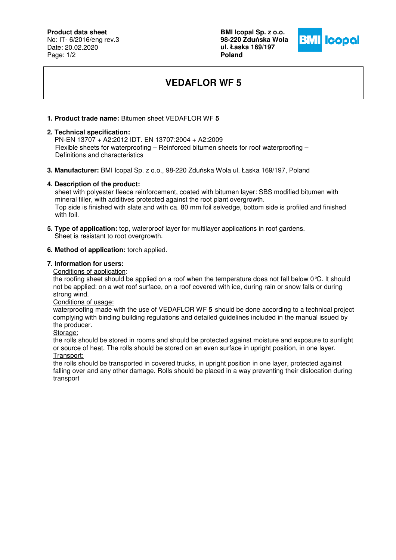## **Product data sheet**

No: IT- 6/2016/eng rev.3 Date: 20.02.2020 Page: 1/2

**BMI Icopal Sp. z o.o. 98-220 Zdu**ń**ska Wola ul. Łaska 169/197 Poland** 



# **VEDAFLOR WF 5**

### **1. Product trade name:** Bitumen sheet VEDAFLOR WF **5**

#### **2. Technical specification:**

 PN-EN 13707 + A2:2012 IDT. EN 13707:2004 + A2:2009 Flexible sheets for waterproofing – Reinforced bitumen sheets for roof waterproofing – Definitions and characteristics

**3. Manufacturer:** BMI Icopal Sp. z o.o., 98-220 Zduńska Wola ul. Łaska 169/197, Poland

#### **4. Description of the product:**

 sheet with polyester fleece reinforcement, coated with bitumen layer: SBS modified bitumen with mineral filler, with additives protected against the root plant overgrowth. Top side is finished with slate and with ca. 80 mm foil selvedge, bottom side is profiled and finished with foil.

**5. Type of application:** top, waterproof layer for multilayer applications in roof gardens. Sheet is resistant to root overgrowth.

#### **6. Method of application:** torch applied.

#### **7. Information for users:**

Conditions of application:

the roofing sheet should be applied on a roof when the temperature does not fall below 0°C. It should not be applied: on a wet roof surface, on a roof covered with ice, during rain or snow falls or during strong wind.

Conditions of usage:

waterproofing made with the use of VEDAFLOR WF **5** should be done according to a technical project complying with binding building regulations and detailed guidelines included in the manual issued by the producer.

Storage:

the rolls should be stored in rooms and should be protected against moisture and exposure to sunlight or source of heat. The rolls should be stored on an even surface in upright position, in one layer. Transport:

the rolls should be transported in covered trucks, in upright position in one layer, protected against falling over and any other damage. Rolls should be placed in a way preventing their dislocation during transport